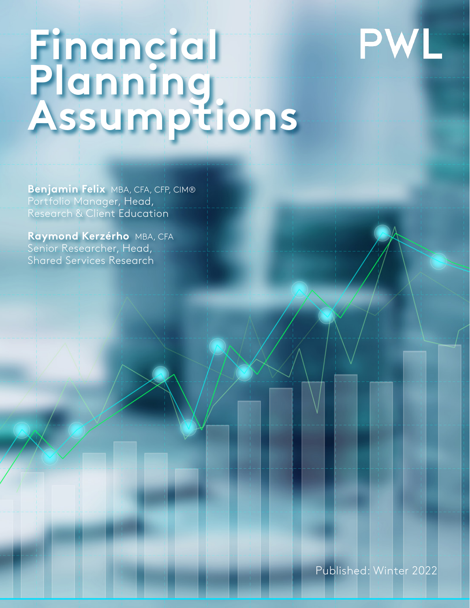# PWL

# **Financial Planning Assumptions**

**Benjamin Felix** MBA, CFA, CFP, CIM® Portfolio Manager, Head, Research & Client Education

**Raymond Kerzérho** MBA, CFA Senior Researcher, Head, Shared Services Research

Published: Winter 2022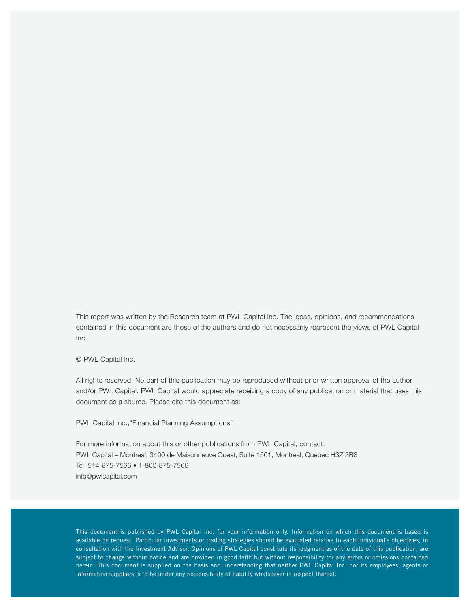This report was written by the Research team at PWL Capital Inc. The ideas, opinions, and recommendations contained in this document are those of the authors and do not necessarily represent the views of PWL Capital  $Inc$ 

© PWL Capital Inc.

All rights reserved. No part of this publication may be reproduced without prior written approval of the author and/or PWL Capital. PWL Capital would appreciate receiving a copy of any publication or material that uses this document as a source. Please cite this document as:

PWL Capital Inc.,"Financial Planning Assumptions"

For more information about this or other publications from PWL Capital, contact: PWL Capital – Montreal, 3400 de Maisonneuve Ouest, Suite 1501, Montreal, Quebec H3Z 3B8 Tel 514-875-7566 • 1-800-875-7566 info@pwlcapital.com

This document is published by PWL Capital Inc. for your information only. Information on which this document is based is available on request. Particular investments or trading strategies should be evaluated relative to each individual's objectives, in consultation with the Investment Advisor. Opinions of PWL Capital constitute its judgment as of the date of this publication, are subject to change without notice and are provided in good faith but without responsibility for any errors or omissions contained herein. This document is supplied on the basis and understanding that neither PWL Capital Inc. nor its employees, agents or information suppliers is to be under any responsibility of liability whatsoever in respect thereof.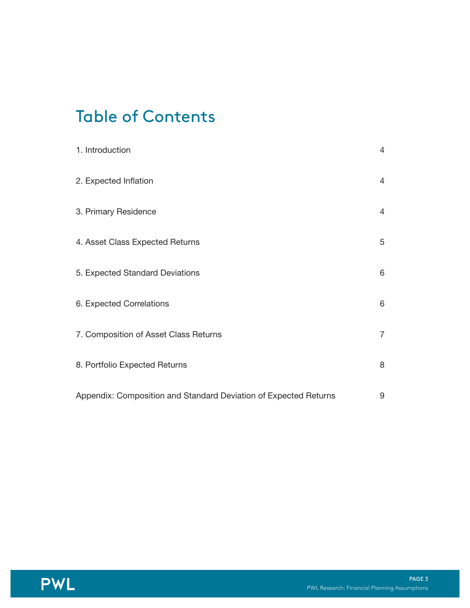## Table of Contents

| 1. Introduction                                                  | $\overline{4}$ |
|------------------------------------------------------------------|----------------|
| 2. Expected Inflation                                            | $\overline{4}$ |
| 3. Primary Residence                                             | $\overline{4}$ |
| 4. Asset Class Expected Returns                                  | 5              |
| 5. Expected Standard Deviations                                  | 6              |
| 6. Expected Correlations                                         | 6              |
| 7. Composition of Asset Class Returns                            | $\overline{7}$ |
| 8. Portfolio Expected Returns                                    | 8              |
| Appendix: Composition and Standard Deviation of Expected Returns | 9              |

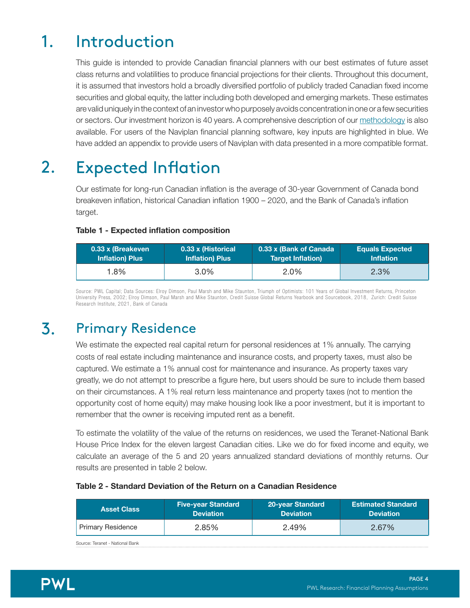## 1. Introduction

This guide is intended to provide Canadian financial planners with our best estimates of future asset class returns and volatilities to produce financial projections for their clients. Throughout this document, it is assumed that investors hold a broadly diversified portfolio of publicly traded Canadian fixed income securities and global equity, the latter including both developed and emerging markets. These estimates are valid uniquely in the context of an investor who purposely avoids concentration in one or a few securities or sectors. Our investment horizon is 40 years. A comprehensive description of our methodology is also available. For users of the Naviplan financial planning software, key inputs are highlighted in blue. We have added an appendix to provide users of Naviplan with data presented in a more compatible format.

#### Expected Inflation 2.

Our estimate for long-run Canadian inflation is the average of 30-year Government of Canada bond breakeven inflation, historical Canadian inflation 1900 – 2020, and the Bank of Canada's inflation target.

#### Table 1 - Expected inflation composition

| 0.33 x (Breakeven<br><b>Inflation) Plus</b> | 0.33 x (Bank of Canada<br>0.33 x (Historical<br><b>Inflation) Plus</b><br>Target Inflation) |      | <b>Equals Expected</b><br><b>Inflation</b> |  |
|---------------------------------------------|---------------------------------------------------------------------------------------------|------|--------------------------------------------|--|
| 1.8%                                        | $3.0\%$                                                                                     | 2.0% | 2.3%                                       |  |

Source: PWL Capital; Data Sources: Elroy Dimson, Paul Marsh and Mike Staunton, Triumph of Optimists: 101 Years of Global Investment Returns, Princeton University Press, 2002; Elroy Dimson, Paul Marsh and Mike Staunton, Credit Suisse Global Returns Yearbook and Sourcebook, 2018, Zurich: Credit Suisse Research Institute, 2021, Bank of Canada

#### Primary Residence 3.

We estimate the expected real capital return for personal residences at 1% annually. The carrying costs of real estate including maintenance and insurance costs, and property taxes, must also be captured. We estimate a 1% annual cost for maintenance and insurance. As property taxes vary greatly, we do not attempt to prescribe a figure here, but users should be sure to include them based on their circumstances. A 1% real return less maintenance and property taxes (not to mention the opportunity cost of home equity) may make housing look like a poor investment, but it is important to remember that the owner is receiving imputed rent as a benefit.

To estimate the volatility of the value of the returns on residences, we used the Teranet-National Bank House Price Index for the eleven largest Canadian cities. Like we do for fixed income and equity, we calculate an average of the 5 and 20 years annualized standard deviations of monthly returns. Our results are presented in table 2 below.

#### Table 2 - Standard Deviation of the Return on a Canadian Residence

| <b>Five-year Standard</b><br><b>Asset Class</b><br><b>Deviation</b> |       | 20-year Standard<br><b>Deviation</b> | <b>Estimated Standard</b><br><b>Deviation</b> |  |
|---------------------------------------------------------------------|-------|--------------------------------------|-----------------------------------------------|--|
| Primary Residence                                                   | 2.85% | 2.49%                                | 2.67%                                         |  |
| $\sim$ $\sim$ $\sim$ $\sim$ $\sim$ $\sim$ $\sim$ $\sim$             |       |                                      |                                               |  |

Source: Teranet - National Bank

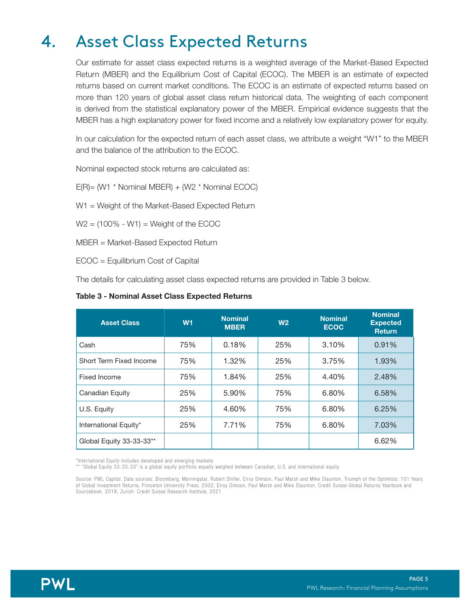## 4. Asset Class Expected Returns

Our estimate for asset class expected returns is a weighted average of the Market-Based Expected Return (MBER) and the Equilibrium Cost of Capital (ECOC). The MBER is an estimate of expected returns based on current market conditions. The ECOC is an estimate of expected returns based on more than 120 years of global asset class return historical data. The weighting of each component is derived from the statistical explanatory power of the MBER. Empirical evidence suggests that the MBER has a high explanatory power for fixed income and a relatively low explanatory power for equity.

In our calculation for the expected return of each asset class, we attribute a weight "W1" to the MBER and the balance of the attribution to the ECOC.

Nominal expected stock returns are calculated as:

E(R)= (W1 \* Nominal MBER) + (W2 \* Nominal ECOC)

W1 = Weight of the Market-Based Expected Return

 $W2 = (100\% - W1) =$  Weight of the ECOC

MBER = Market-Based Expected Return

ECOC = Equilibrium Cost of Capital

The details for calculating asset class expected returns are provided in Table 3 below.

#### Table 3 - Nominal Asset Class Expected Returns

| <b>Asset Class</b>       | W <sub>1</sub> | <b>Nominal</b><br><b>MBER</b> | W <sub>2</sub> | <b>Nominal</b><br><b>ECOC</b> | <b>Nominal</b><br><b>Expected</b><br><b>Return</b> |
|--------------------------|----------------|-------------------------------|----------------|-------------------------------|----------------------------------------------------|
| Cash                     | 75%            | 0.18%                         | 25%            | 3.10%                         | 0.91%                                              |
| Short Term Fixed Income  | 75%            | 1.32%                         | 25%            | 3.75%                         | 1.93%                                              |
| Fixed Income             | 75%            | 1.84%                         | 25%            | 4.40%                         | 2.48%                                              |
| Canadian Equity          | 25%            | 5.90%                         | 75%            | 6.80%                         | 6.58%                                              |
| U.S. Equity              | 25%            | 4.60%                         | 75%            | 6.80%                         | 6.25%                                              |
| International Equity*    | 25%            | 7.71%                         | 75%            | 6.80%                         | 7.03%                                              |
| Global Equity 33-33-33** |                |                               |                |                               | 6.62%                                              |

\*International Equity includes developed and emerging markets

\*\* "Global Equity 33-33-33" is a global equity portfolio equally weighed between Canadian, U.S. and international equity

Source: PWL Capital; Data sources: Bloomberg, Morningstar, Robert Shiller, Elroy Dimson, Paul Marsh and Mike Staunton, Triumph of the Optimists: 101 Years of Global Investment Returns, Princeton University Press, 2002; Elroy Dimson, Paul Marsh and Mike Staunton, Credit Suisse Global Returns Yearbook and Sourcebook, 2018, Zurich: Credit Suisse Research Institute, 2021

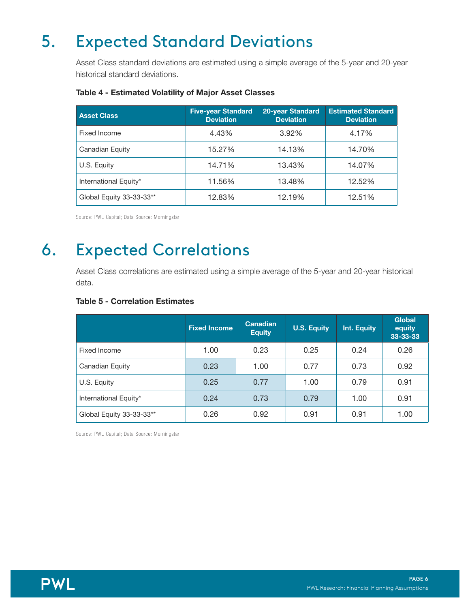## 5. Expected Standard Deviations

Asset Class standard deviations are estimated using a simple average of the 5-year and 20-year historical standard deviations.

| <b>Asset Class</b>       | <b>Five-year Standard</b><br><b>Deviation</b> | <b>20-year Standard</b><br><b>Deviation</b> | <b>Estimated Standard</b><br><b>Deviation</b> |
|--------------------------|-----------------------------------------------|---------------------------------------------|-----------------------------------------------|
| Fixed Income             | 4.43%                                         | 3.92%                                       | 4.17%                                         |
| Canadian Equity          | 15.27%                                        | 14.13%                                      | 14.70%                                        |
| U.S. Equity              | 14.71%                                        | 13.43%                                      | 14.07%                                        |
| International Equity*    | 11.56%                                        | 13.48%                                      | 12.52%                                        |
| Global Equity 33-33-33** | 12.83%                                        | 12.19%                                      | 12.51%                                        |

#### Table 4 - Estimated Volatility of Major Asset Classes

Source: PWL Capital; Data Source: Morningstar

#### Expected Correlations 6.

Asset Class correlations are estimated using a simple average of the 5-year and 20-year historical data.

#### Table 5 - Correlation Estimates

|                          | <b>Fixed Income</b> | <b>Canadian</b><br><b>Equity</b> | <b>U.S. Equity</b> | Int. Equity | <b>Global</b><br>equity<br>33-33-33 |
|--------------------------|---------------------|----------------------------------|--------------------|-------------|-------------------------------------|
| Fixed Income             | 1.00                | 0.23                             | 0.25               | 0.24        | 0.26                                |
| Canadian Equity          | 0.23                | 1.00                             | 0.77               | 0.73        | 0.92                                |
| U.S. Equity              | 0.25                | 0.77                             | 1.00               | 0.79        | 0.91                                |
| International Equity*    | 0.24                | 0.73                             | 0.79               | 1.00        | 0.91                                |
| Global Equity 33-33-33** | 0.26                | 0.92                             | 0.91               | 0.91        | 1.00                                |

Source: PWL Capital; Data Source: Morningstar

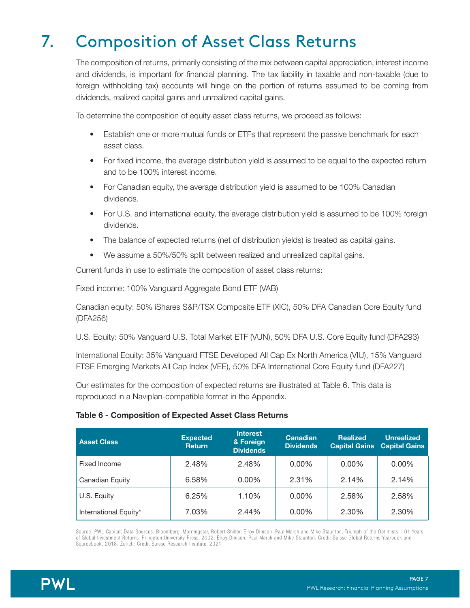## 7. Composition of Asset Class Returns

The composition of returns, primarily consisting of the mix between capital appreciation, interest income and dividends, is important for financial planning. The tax liability in taxable and non-taxable (due to foreign withholding tax) accounts will hinge on the portion of returns assumed to be coming from dividends, realized capital gains and unrealized capital gains.

To determine the composition of equity asset class returns, we proceed as follows:

- Establish one or more mutual funds or ETFs that represent the passive benchmark for each asset class.
- For fixed income, the average distribution yield is assumed to be equal to the expected return and to be 100% interest income.
- For Canadian equity, the average distribution yield is assumed to be 100% Canadian dividends.
- For U.S. and international equity, the average distribution yield is assumed to be 100% foreign dividends.
- The balance of expected returns (net of distribution yields) is treated as capital gains.
- We assume a 50%/50% split between realized and unrealized capital gains.

Current funds in use to estimate the composition of asset class returns:

Fixed income: 100% Vanguard Aggregate Bond ETF (VAB)

Canadian equity: 50% iShares S&P/TSX Composite ETF (XIC), 50% DFA Canadian Core Equity fund (DFA256)

U.S. Equity: 50% Vanguard U.S. Total Market ETF (VUN), 50% DFA U.S. Core Equity fund (DFA293)

International Equity: 35% Vanguard FTSE Developed All Cap Ex North America (VIU), 15% Vanguard FTSE Emerging Markets All Cap Index (VEE), 50% DFA International Core Equity fund (DFA227)

Our estimates for the composition of expected returns are illustrated at Table 6. This data is reproduced in a Naviplan-compatible format in the Appendix.

#### Table 6 - Composition of Expected Asset Class Returns

| <b>Asset Class</b>    | <b>Expected</b><br><b>Return</b> | <b>Interest</b><br>& Foreign<br><b>Dividends</b> | <b>Canadian</b><br><b>Dividends</b> | <b>Realized</b><br><b>Capital Gains</b> | <b>Unrealized</b><br><b>Capital Gains</b> |
|-----------------------|----------------------------------|--------------------------------------------------|-------------------------------------|-----------------------------------------|-------------------------------------------|
| Fixed Income          | 2.48%                            | 2.48%                                            | $0.00\%$                            | $0.00\%$                                | $0.00\%$                                  |
| Canadian Equity       | 6.58%                            | $0.00\%$                                         | 2.31%                               | 2.14%                                   | 2.14%                                     |
| U.S. Equity           | 6.25%                            | 1.10%                                            | $0.00\%$                            | 2.58%                                   | 2.58%                                     |
| International Equity* | 7.03%                            | 2.44%                                            | $0.00\%$                            | 2.30%                                   | 2.30%                                     |

Source: PWL Capital; Data Sources: Bloomberg, Morningstar, Robert Shiller, Elroy Dimson, Paul Marsh and Mike Staunton, Triumph of the Optimists: 101 Years of Global Investment Returns, Princeton University Press, 2002; Elroy Dimson, Paul Marsh and Mike Staunton, Credit Suisse Global Returns Yearbook and Sourcebook, 2018, Zurich: Credit Suisse Research Institute, 2021

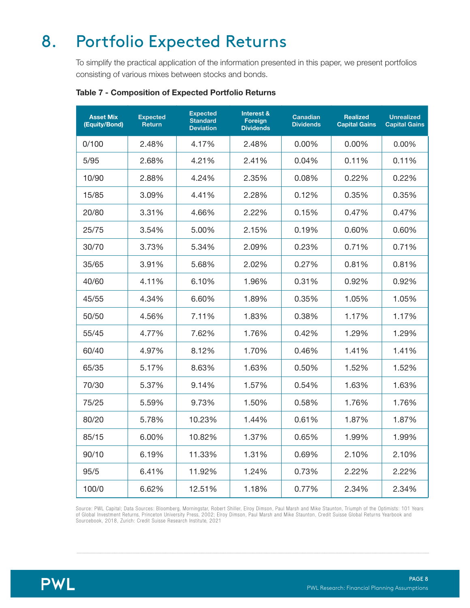## 8. Portfolio Expected Returns

To simplify the practical application of the information presented in this paper, we present portfolios consisting of various mixes between stocks and bonds.

| <b>Asset Mix</b><br>(Equity/Bond) | <b>Expected</b><br><b>Return</b> | <b>Expected</b><br><b>Standard</b><br><b>Deviation</b> | Interest &<br><b>Foreign</b><br><b>Dividends</b> | <b>Canadian</b><br><b>Dividends</b> | <b>Realized</b><br><b>Capital Gains</b> | <b>Unrealized</b><br><b>Capital Gains</b> |
|-----------------------------------|----------------------------------|--------------------------------------------------------|--------------------------------------------------|-------------------------------------|-----------------------------------------|-------------------------------------------|
| 0/100                             | 2.48%                            | 4.17%                                                  | 2.48%                                            | 0.00%                               | 0.00%                                   | 0.00%                                     |
| 5/95                              | 2.68%                            | 4.21%                                                  | 2.41%                                            | 0.04%                               | 0.11%                                   | 0.11%                                     |
| 10/90                             | 2.88%                            | 4.24%                                                  | 2.35%                                            | 0.08%                               | 0.22%                                   | 0.22%                                     |
| 15/85                             | 3.09%                            | 4.41%                                                  | 2.28%                                            | 0.12%                               | 0.35%                                   | 0.35%                                     |
| 20/80                             | 3.31%                            | 4.66%                                                  | 2.22%                                            | 0.15%                               | 0.47%                                   | 0.47%                                     |
| 25/75                             | 3.54%                            | 5.00%                                                  | 2.15%                                            | 0.19%                               | $0.60\%$                                | 0.60%                                     |
| 30/70                             | 3.73%                            | 5.34%                                                  | 2.09%                                            | 0.23%                               | 0.71%                                   | 0.71%                                     |
| 35/65                             | 3.91%                            | 5.68%                                                  | 2.02%                                            | 0.27%                               | 0.81%                                   | 0.81%                                     |
| 40/60                             | 4.11%                            | 6.10%                                                  | 1.96%                                            | 0.31%                               | 0.92%                                   | 0.92%                                     |
| 45/55                             | 4.34%                            | 6.60%                                                  | 1.89%                                            | 0.35%                               | 1.05%                                   | 1.05%                                     |
| 50/50                             | 4.56%                            | 7.11%                                                  | 1.83%                                            | 0.38%                               | 1.17%                                   | 1.17%                                     |
| 55/45                             | 4.77%                            | 7.62%                                                  | 1.76%                                            | 0.42%                               | 1.29%                                   | 1.29%                                     |
| 60/40                             | 4.97%                            | 8.12%                                                  | 1.70%                                            | 0.46%                               | 1.41%                                   | 1.41%                                     |
| 65/35                             | 5.17%                            | 8.63%                                                  | 1.63%                                            | 0.50%                               | 1.52%                                   | 1.52%                                     |
| 70/30                             | 5.37%                            | 9.14%                                                  | 1.57%                                            | 0.54%                               | 1.63%                                   | 1.63%                                     |
| 75/25                             | 5.59%                            | 9.73%                                                  | 1.50%                                            | 0.58%                               | 1.76%                                   | 1.76%                                     |
| 80/20                             | 5.78%                            | 10.23%                                                 | 1.44%                                            | 0.61%                               | 1.87%                                   | 1.87%                                     |
| 85/15                             | 6.00%                            | 10.82%                                                 | 1.37%                                            | 0.65%                               | 1.99%                                   | 1.99%                                     |
| 90/10                             | 6.19%                            | 11.33%                                                 | 1.31%                                            | 0.69%                               | 2.10%                                   | 2.10%                                     |
| 95/5                              | 6.41%                            | 11.92%                                                 | 1.24%                                            | 0.73%                               | 2.22%                                   | 2.22%                                     |
| 100/0                             | 6.62%                            | 12.51%                                                 | 1.18%                                            | 0.77%                               | 2.34%                                   | 2.34%                                     |

#### Table 7 - Composition of Expected Portfolio Returns

Source: PWL Capital; Data Sources: Bloomberg, Morningstar, Robert Shiller, Elroy Dimson, Paul Marsh and Mike Staunton, Triumph of the Optimists: 101 Years of Global Investment Returns, Princeton University Press, 2002; Elroy Dimson, Paul Marsh and Mike Staunton, Credit Suisse Global Returns Yearbook and Sourcebook, 2018, Zurich: Credit Suisse Research Institute, 2021

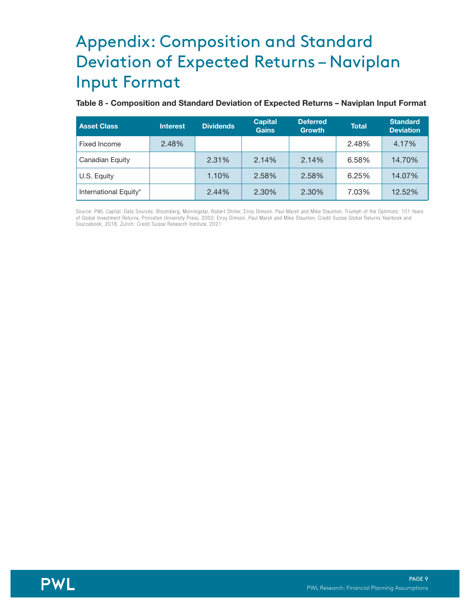## Appendix: Composition and Standard Deviation of Expected Returns – Naviplan Input Format

#### Table 8 - Composition and Standard Deviation of Expected Returns – Naviplan Input Format

| <b>Asset Class</b>    | <b>Interest</b> | <b>Dividends</b> | <b>Capital</b><br><b>Gains</b> | <b>Deferred</b><br><b>Growth</b> | <b>Total</b> | <b>Standard</b><br><b>Deviation</b> |
|-----------------------|-----------------|------------------|--------------------------------|----------------------------------|--------------|-------------------------------------|
| Fixed Income          | 2.48%           |                  |                                |                                  | 2.48%        | 4.17%                               |
| Canadian Equity       |                 | 2.31%            | 2.14%                          | 2.14%                            | 6.58%        | 14.70%                              |
| U.S. Equity           |                 | 1.10%            | 2.58%                          | 2.58%                            | 6.25%        | 14.07%                              |
| International Equity* |                 | 2.44%            | 2.30%                          | 2.30%                            | 7.03%        | 12.52%                              |

Source: PWL Capital; Data Sources: Bloomberg, Morningstar, Robert Shiller, Elroy Dimson, Paul Marsh and Mike Staunton, Triumph of the Optimists: 101 Years of Global Investment Returns, Princeton University Press, 2002; Elroy Dimson, Paul Marsh and Mike Staunton, Credit Suisse Global Returns Yearbook and Sourcebook, 2018, Zurich: Credit Suisse Research Institute, 2021